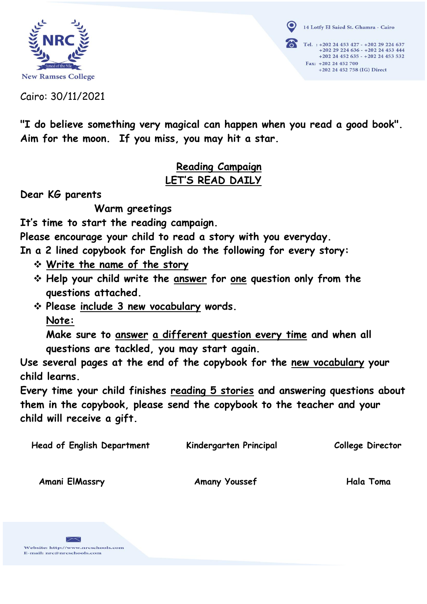

14 Lotfy El Saied St. Ghamra - Cairo Tel. : +202 24 453 427 - +202 29 224 637 +202 29 224 636 - +202 24 453 444  $+202$  24 452 635 -  $+202$  24 453 532 Fax: +202 24 452 700 +202 24 452 758 (IG) Direct

Cairo: 30/11/2021

**"I do believe something very magical can happen when you read a good book". Aim for the moon. If you miss, you may hit a star.**

## **Reading Campaign LET'S READ DAILY**

**Dear KG parents**

 **Warm greetings** 

**It's time to start the reading campaign.**

**Please encourage your child to read a story with you everyday.**

**In a 2 lined copybook for English do the following for every story:**

- **Write the name of the story**
- **Help your child write the answer for one question only from the questions attached.**
- **Please include 3 new vocabulary words. Note:**

**Make sure to answer a different question every time and when all questions are tackled, you may start again.**

**Use several pages at the end of the copybook for the new vocabulary your child learns.**

**Every time your child finishes reading 5 stories and answering questions about them in the copybook, please send the copybook to the teacher and your child will receive a gift.**

 **Head of English Department** Kindergarten Principal College Director

Amani ElMassry Amany Youssef Hala Toma